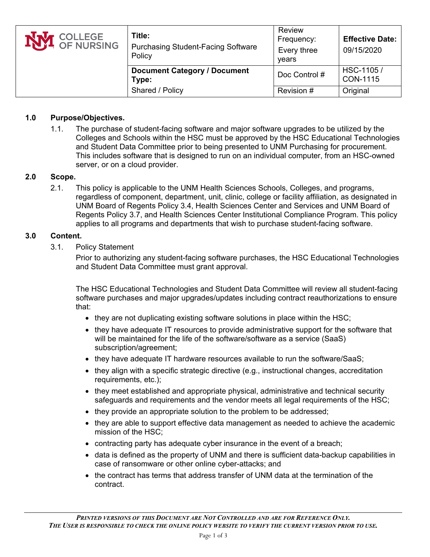| <b>NVI</b> COLLEGE | Title:<br><b>Purchasing Student-Facing Software</b><br>Policy | <b>Review</b><br>Frequency:<br>Every three<br>vears | <b>Effective Date:</b><br>09/15/2020 |
|--------------------|---------------------------------------------------------------|-----------------------------------------------------|--------------------------------------|
|                    | <b>Document Category / Document</b><br>Type:                  | Doc Control #                                       | HSC-1105 /<br>CON-1115               |
|                    | Shared / Policy                                               | Revision #                                          | Original                             |

### **1.0 Purpose/Objectives.**

1.1. The purchase of student-facing software and major software upgrades to be utilized by the Colleges and Schools within the HSC must be approved by the HSC Educational Technologies and Student Data Committee prior to being presented to UNM Purchasing for procurement. This includes software that is designed to run on an individual computer, from an HSC-owned server, or on a cloud provider.

### **2.0 Scope.**

2.1. This policy is applicable to the UNM Health Sciences Schools, Colleges, and programs, regardless of component, department, unit, clinic, college or facility affiliation, as designated in UNM Board of Regents Policy 3.4, Health Sciences Center and Services and UNM Board of Regents Policy 3.7, and Health Sciences Center Institutional Compliance Program. This policy applies to all programs and departments that wish to purchase student-facing software.

#### **3.0 Content.**

3.1. Policy Statement

Prior to authorizing any student-facing software purchases, the HSC Educational Technologies and Student Data Committee must grant approval.

The HSC Educational Technologies and Student Data Committee will review all student-facing software purchases and major upgrades/updates including contract reauthorizations to ensure that:

- they are not duplicating existing software solutions in place within the HSC;
- they have adequate IT resources to provide administrative support for the software that will be maintained for the life of the software/software as a service (SaaS) subscription/agreement;
- they have adequate IT hardware resources available to run the software/SaaS;
- they align with a specific strategic directive (e.g., instructional changes, accreditation requirements, etc.);
- they meet established and appropriate physical, administrative and technical security safeguards and requirements and the vendor meets all legal requirements of the HSC;
- they provide an appropriate solution to the problem to be addressed;
- they are able to support effective data management as needed to achieve the academic mission of the HSC;
- contracting party has adequate cyber insurance in the event of a breach;
- data is defined as the property of UNM and there is sufficient data-backup capabilities in case of ransomware or other online cyber-attacks; and
- the contract has terms that address transfer of UNM data at the termination of the contract.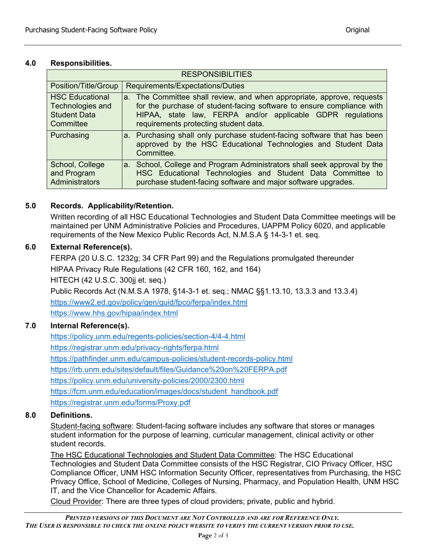### **4.0 Responsibilities.**

| <b>RESPONSIBILITIES</b>                                                        |                                                                                                                                                                                                                                                        |  |  |  |  |
|--------------------------------------------------------------------------------|--------------------------------------------------------------------------------------------------------------------------------------------------------------------------------------------------------------------------------------------------------|--|--|--|--|
| Position/Title/Group                                                           | Requirements/Expectations/Duties                                                                                                                                                                                                                       |  |  |  |  |
| <b>HSC Educational</b><br>Technologies and<br><b>Student Data</b><br>Committee | a. The Committee shall review, and when appropriate, approve, requests<br>for the purchase of student-facing software to ensure compliance with<br>HIPAA, state law, FERPA and/or applicable GDPR regulations<br>requirements protecting student data. |  |  |  |  |
| Purchasing                                                                     | a. Purchasing shall only purchase student-facing software that has been<br>approved by the HSC Educational Technologies and Student Data<br>Committee.                                                                                                 |  |  |  |  |
| School, College<br>and Program<br>Administrators                               | a. School, College and Program Administrators shall seek approval by the<br>HSC Educational Technologies and Student Data Committee to<br>purchase student-facing software and major software upgrades.                                                |  |  |  |  |

## **5.0 Records. Applicability/Retention.**

Written recording of all HSC Educational Technologies and Student Data Committee meetings will be maintained per UNM Administrative Policies and Procedures, UAPPM Policy 6020, and applicable requirements of the New Mexico Public Records Act, N.M.S.A § 14-3-1 et. seq.

## **6.0 External Reference(s).**

FERPA (20 U.S.C. 1232g; 34 CFR Part 99) and the Regulations promulgated thereunder HIPAA Privacy Rule Regulations (42 CFR 160, 162, and 164)

HITECH (42 U.S.C. 300jj et. seq.)

Public Records Act (N.M.S.A 1978, §14-3-1 et. seq.; NMAC §§1.13.10, 13.3.3 and 13.3.4)

<https://www2.ed.gov/policy/gen/guid/fpco/ferpa/index.html> <https://www.hhs.gov/hipaa/index.html>

# **7.0 Internal Reference(s).**

<https://policy.unm.edu/regents-policies/section-4/4-4.html> <https://registrar.unm.edu/privacy-rights/ferpa.html> <https://pathfinder.unm.edu/campus-policies/student-records-policy.html> <https://irb.unm.edu/sites/default/files/Guidance%20on%20FERPA.pdf> <https://policy.unm.edu/university-policies/2000/2300.html> [https://fcm.unm.edu/education/images/docs/student\\_handbook.pdf](https://fcm.unm.edu/education/images/docs/student_handbook.pdf) <https://registrar.unm.edu/forms/Proxy.pdf>

## **8.0 Definitions.**

Student-facing software: Student-facing software includes any software that stores or manages student information for the purpose of learning, curricular management, clinical activity or other student records.

The HSC Educational Technologies and Student Data Committee: The HSC Educational Technologies and Student Data Committee consists of the HSC Registrar, CIO Privacy Officer, HSC Compliance Officer, UNM HSC Information Security Officer, representatives from Purchasing, the HSC Privacy Office, School of Medicine, Colleges of Nursing, Pharmacy, and Population Health, UNM HSC IT, and the Vice Chancellor for Academic Affairs.

Cloud Provider: There are three types of cloud providers; private, public and hybrid.